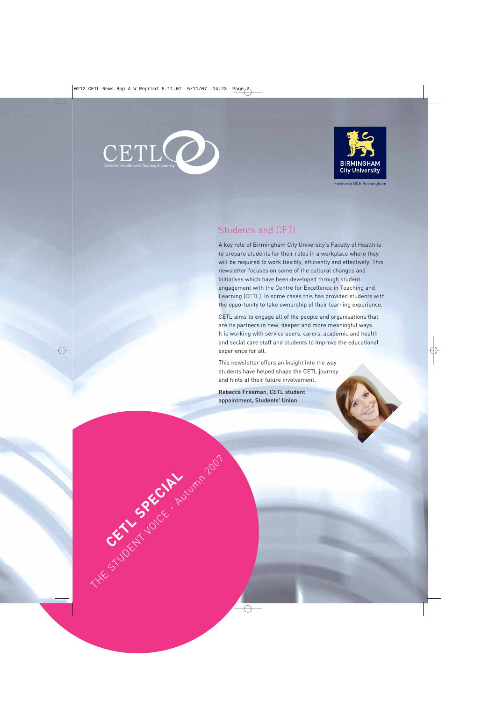

CETL SPECIAL

The Student Student Autumn 2007



Formerly UCE Birmingham

## Students and CETL

A key role of Birmingham City University's Faculty of Health is to prepare students for their roles in a workplace where they will be required to work flexibly, efficiently and effectively. This newsletter focuses on some of the cultural changes and initiatives which have been developed through student engagement with the Centre for Excellence in Teaching and Learning (CETL). In some cases this has provided students with the opportunity to take ownership of their learning experience.

CETL aims to engage all of the people and organisations that are its partners in new, deeper and more meaningful ways. It is working with service users, carers, academic and health and social care staff and students to improve the educational experience for all.

This newsletter offers an insight into the way students have helped shape the CETL journey and hints at their future involvement.

Rebecca Freeman, CETL student appointment, Students' Union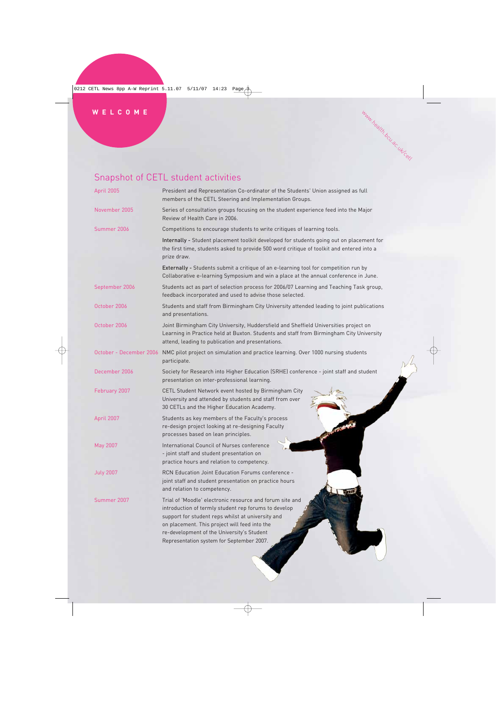# Snapshot of CETL student activities

| April 2005       | President and Representation Co-ordinator of the Students' Union assigned as full<br>members of the CETL Steering and Implementation Groups.                                                                                                                                                                      |
|------------------|-------------------------------------------------------------------------------------------------------------------------------------------------------------------------------------------------------------------------------------------------------------------------------------------------------------------|
| November 2005    | Series of consultation groups focusing on the student experience feed into the Major<br>Review of Health Care in 2006.                                                                                                                                                                                            |
| Summer 2006      | Competitions to encourage students to write critiques of learning tools.                                                                                                                                                                                                                                          |
|                  | Internally - Student placement toolkit developed for students going out on placement for<br>the first time, students asked to provide 500 word critique of toolkit and entered into a<br>prize draw.                                                                                                              |
|                  | Externally - Students submit a critique of an e-learning tool for competition run by<br>Collaborative e-learning Symposium and win a place at the annual conference in June.                                                                                                                                      |
| September 2006   | Students act as part of selection process for 2006/07 Learning and Teaching Task group,<br>feedback incorporated and used to advise those selected.                                                                                                                                                               |
| October 2006     | Students and staff from Birmingham City University attended leading to joint publications<br>and presentations.                                                                                                                                                                                                   |
| October 2006     | Joint Birmingham City University, Huddersfield and Sheffield Universities project on<br>Learning in Practice held at Buxton. Students and staff from Birmingham City University<br>attend, leading to publication and presentations.                                                                              |
|                  | October - December 2006 NMC pilot project on simulation and practice learning. Over 1000 nursing students<br>participate.                                                                                                                                                                                         |
| December 2006    | Society for Research into Higher Education (SRHE) conference - joint staff and student<br>presentation on inter-professional learning.                                                                                                                                                                            |
| February 2007    | CETL Student Network event hosted by Birmingham City<br>University and attended by students and staff from over<br>30 CETLs and the Higher Education Academy.                                                                                                                                                     |
| April 2007       | Students as key members of the Faculty's process<br>re-design project looking at re-designing Faculty<br>processes based on lean principles.                                                                                                                                                                      |
| May 2007         | International Council of Nurses conference<br>- joint staff and student presentation on<br>practice hours and relation to competency.                                                                                                                                                                             |
| <b>July 2007</b> | RCN Education Joint Education Forums conference -<br>joint staff and student presentation on practice hours<br>and relation to competency.                                                                                                                                                                        |
| Summer 2007      | Trial of 'Moodle' electronic resource and forum site and<br>introduction of termly student rep forums to develop<br>support for student reps whilst at university and<br>on placement. This project will feed into the<br>re-development of the University's Student<br>Representation system for September 2007. |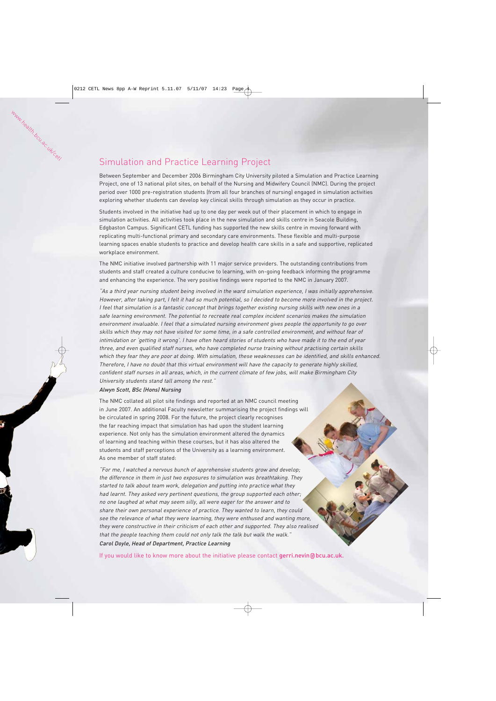## Simulation and Practice Learning Project

Between September and December 2006 Birmingham City University piloted a Simulation and Practice Learning Project, one of 13 national pilot sites, on behalf of the Nursing and Midwifery Council (NMC). During the project period over 1000 pre-registration students (from all four branches of nursing) engaged in simulation activities exploring whether students can develop key clinical skills through simulation as they occur in practice.

Students involved in the initiative had up to one day per week out of their placement in which to engage in simulation activities. All activities took place in the new simulation and skills centre in Seacole Building, Edgbaston Campus. Significant CETL funding has supported the new skills centre in moving forward with replicating multi-functional primary and secondary care environments. These flexible and multi-purpose learning spaces enable students to practice and develop health care skills in a safe and supportive, replicated workplace environment.

The NMC initiative involved partnership with 11 major service providers. The outstanding contributions from students and staff created a culture conducive to learning, with on-going feedback informing the programme and enhancing the experience. The very positive findings were reported to the NMC in January 2007.

"As a third year nursing student being involved in the ward simulation experience, I was initially apprehensive. However, after taking part, I felt it had so much potential, so I decided to become more involved in the project. I feel that simulation is a fantastic concept that brings together existing nursing skills with new ones in a safe learning environment. The potential to recreate real complex incident scenarios makes the simulation environment invaluable. I feel that a simulated nursing environment gives people the opportunity to go over skills which they may not have visited for some time, in a safe controlled environment, and without fear of intimidation or 'getting it wrong'. I have often heard stories of students who have made it to the end of year three, and even qualified staff nurses, who have completed nurse training without practising certain skills which they fear they are poor at doing. With simulation, these weaknesses can be identified, and skills enhanced. Therefore, I have no doubt that this virtual environment will have the capacity to generate highly skilled, confident staff nurses in all areas, which, in the current climate of few jobs, will make Birmingham City University students stand tall among the rest."

#### Alwyn Scott, BSc (Hons) Nursing

The NMC collated all pilot site findings and reported at an NMC council meeting in June 2007. An additional Faculty newsletter summarising the project findings will be circulated in spring 2008. For the future, the project clearly recognises the far reaching impact that simulation has had upon the student learning experience. Not only has the simulation environment altered the dynamics of learning and teaching within these courses, but it has also altered the students and staff perceptions of the University as a learning environment. As one member of staff stated:

"For me, I watched a nervous bunch of apprehensive students grow and develop; the difference in them in just two exposures to simulation was breathtaking. They started to talk about team work, delegation and putting into practice what they had learnt. They asked very pertinent questions, the group supported each other; no one laughed at what may seem silly, all were eager for the answer and to share their own personal experience of practice. They wanted to learn, they could see the relevance of what they were learning, they were enthused and wanting more, they were constructive in their criticism of each other and supported. They also realised that the people teaching them could not only talk the talk but walk the walk."

Carol Doyle, Head of Department, Practice Learning

If you would like to know more about the initiative please contact gerri.nevin@bcu.ac.uk.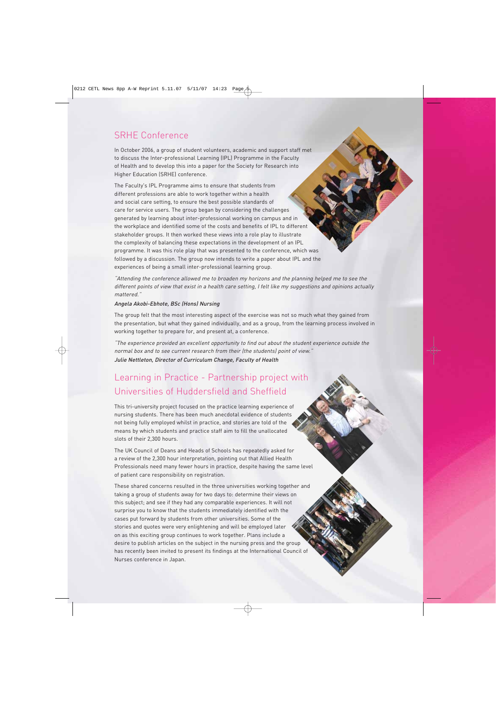### SRHE Conference

In October 2006, a group of student volunteers, academic and support staff met to discuss the Inter-professional Learning (IPL) Programme in the Faculty of Health and to develop this into a paper for the Society for Research into Higher Education (SRHE) conference.

The Faculty's IPL Programme aims to ensure that students from different professions are able to work together within a health and social care setting, to ensure the best possible standards of care for service users. The group began by considering the challenges generated by learning about inter-professional working on campus and in the workplace and identified some of the costs and benefits of IPL to different stakeholder groups. It then worked these views into a role play to illustrate the complexity of balancing these expectations in the development of an IPL programme. It was this role play that was presented to the conference, which was followed by a discussion. The group now intends to write a paper about IPL and the experiences of being a small inter-professional learning group.

"Attending the conference allowed me to broaden my horizons and the planning helped me to see the different points of view that exist in a health care setting, I felt like my suggestions and opinions actually mattered."

#### Angela Akobi-Ebhote, BSc (Hons) Nursing

The group felt that the most interesting aspect of the exercise was not so much what they gained from the presentation, but what they gained individually, and as a group, from the learning process involved in working together to prepare for, and present at, a conference.

"The experience provided an excellent opportunity to find out about the student experience outside the normal box and to see current research from their (the students) point of view."

Julie Nettleton, Director of Curriculum Change, Faculty of Health

## Learning in Practice - Partnership project with Universities of Huddersfield and Sheffield

This tri-university project focused on the practice learning experience of nursing students. There has been much anecdotal evidence of students not being fully employed whilst in practice, and stories are told of the means by which students and practice staff aim to fill the unallocated slots of their 2,300 hours.

The UK Council of Deans and Heads of Schools has repeatedly asked for a review of the 2,300 hour interpretation, pointing out that Allied Health Professionals need many fewer hours in practice, despite having the same level of patient care responsibility on registration.

These shared concerns resulted in the three universities working together and taking a group of students away for two days to: determine their views on this subject; and see if they had any comparable experiences. It will not surprise you to know that the students immediately identified with the cases put forward by students from other universities. Some of the stories and quotes were very enlightening and will be employed later on as this exciting group continues to work together. Plans include a desire to publish articles on the subject in the nursing press and the group has recently been invited to present its findings at the International Council of Nurses conference in Japan.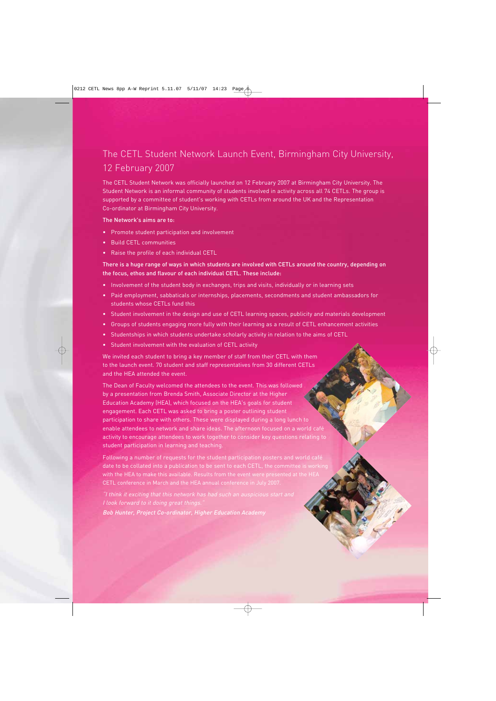## The CETL Student Network Launch Event, Birmingham City University, 12 February 2007

The CETL Student Network was officially launched on 12 February 2007 at Birmingham City University. The Student Network is an informal community of students involved in activity across all 74 CETLs. The group is supported by a committee of student's working with CETLs from around the UK and the Representation Co-ordinator at Birmingham City University.

#### The Network's aims are to:

- Promote student participation and involvement
- Build CETL communities
- Raise the profile of each individual CETL

#### There is a huge range of ways in which students are involved with CETLs around the country, depending on the focus, ethos and flavour of each individual CETL. These include:

- Involvement of the student body in exchanges, trips and visits, individually or in learning sets
- Paid employment, sabbaticals or internships, placements, secondments and student ambassadors for students whose CETLs fund this
- Student involvement in the design and use of CETL learning spaces, publicity and materials development
- Groups of students engaging more fully with their learning as a result of CETL enhancement activities
- Studentships in which students undertake scholarly activity in relation to the aims of CETL
- Student involvement with the evaluation of CETL activity

We invited each student to bring a key member of staff from their CETL with them to the launch event. 70 student and staff representatives from 30 different CETLs and the HEA attended the event.

The Dean of Faculty welcomed the attendees to the event. This was followed by a presentation from Brenda Smith, Associate Director at the Higher Education Academy (HEA), which focused on the HEA's goals for student engagement. Each CETL was asked to bring a poster outlining student participation to share with others. These were displayed during a long lunch to enable attendees to network and share ideas. The afternoon focused on a world café activity to encourage attendees to work together to consider key questions relating to student participation in learning and teaching.

Following a number of requests for the student participation posters and world café date to be collated into a publication to be sent to each CETL, the committee is working with the HEA to make this available. Results from the event were presented at the HEA CETL conference in March and the HEA annual conference in July 2007.

I look forward to it doing great things. Bob Hunter, Project Co-ordinator, Higher Education Academy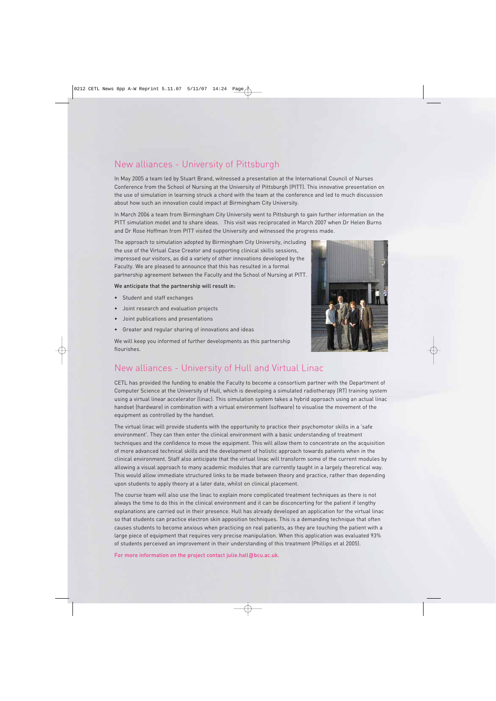## New alliances - University of Pittsburgh

In May 2005 a team led by Stuart Brand, witnessed a presentation at the International Council of Nurses Conference from the School of Nursing at the University of Pittsburgh (PITT). This innovative presentation on the use of simulation in learning struck a chord with the team at the conference and led to much discussion about how such an innovation could impact at Birmingham City University.

In March 2006 a team from Birmingham City University went to Pittsburgh to gain further information on the PITT simulation model and to share ideas. This visit was reciprocated in March 2007 when Dr Helen Burns and Dr Rose Hoffman from PITT visited the University and witnessed the progress made.

The approach to simulation adopted by Birmingham City University, including the use of the Virtual Case Creator and supporting clinical skills sessions, impressed our visitors, as did a variety of other innovations developed by the Faculty. We are pleased to announce that this has resulted in a formal partnership agreement between the Faculty and the School of Nursing at PITT.

#### We anticipate that the partnership will result in:

- Student and staff exchanges
- Joint research and evaluation projects
- Joint publications and presentations
- Greater and regular sharing of innovations and ideas

We will keep you informed of further developments as this partnership flourishes.



## New alliances - University of Hull and Virtual Linac

CETL has provided the funding to enable the Faculty to become a consortium partner with the Department of Computer Science at the University of Hull, which is developing a simulated radiotherapy (RT) training system using a virtual linear accelerator (linac). This simulation system takes a hybrid approach using an actual linac handset (hardware) in combination with a virtual environment (software) to visualise the movement of the equipment as controlled by the handset.

The virtual linac will provide students with the opportunity to practice their psychomotor skills in a 'safe environment'. They can then enter the clinical environment with a basic understanding of treatment techniques and the confidence to move the equipment. This will allow them to concentrate on the acquisition of more advanced technical skills and the development of holistic approach towards patients when in the clinical environment. Staff also anticipate that the virtual linac will transform some of the current modules by allowing a visual approach to many academic modules that are currently taught in a largely theoretical way. This would allow immediate structured links to be made between theory and practice, rather than depending upon students to apply theory at a later date, whilst on clinical placement.

The course team will also use the linac to explain more complicated treatment techniques as there is not always the time to do this in the clinical environment and it can be disconcerting for the patient if lengthy explanations are carried out in their presence. Hull has already developed an application for the virtual linac so that students can practice electron skin apposition techniques. This is a demanding technique that often causes students to become anxious when practicing on real patients, as they are touching the patient with a large piece of equipment that requires very precise manipulation. When this application was evaluated 93% of students perceived an improvement in their understanding of this treatment (Phillips et al 2005).

For more information on the project contact julie.hall@bcu.ac.uk.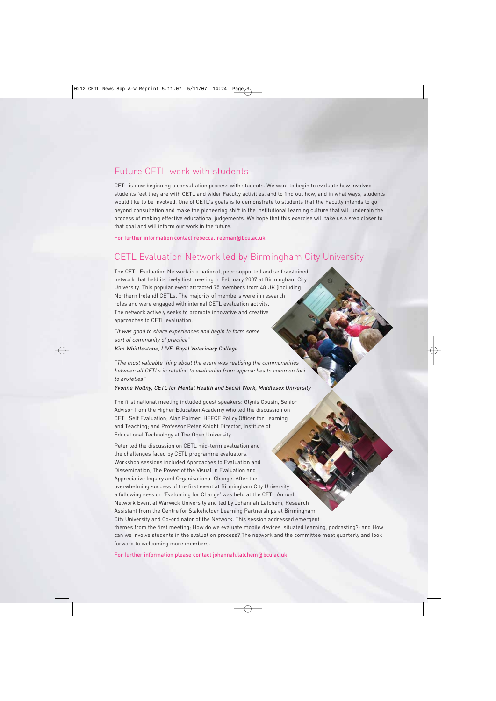### Future CETL work with students

CETL is now beginning a consultation process with students. We want to begin to evaluate how involved students feel they are with CETL and wider Faculty activities, and to find out how, and in what ways, students would like to be involved. One of CETL's goals is to demonstrate to students that the Faculty intends to go beyond consultation and make the pioneering shift in the institutional learning culture that will underpin the process of making effective educational judgements. We hope that this exercise will take us a step closer to that goal and will inform our work in the future.

For further information contact rebecca.freeman@bcu.ac.uk

### CETL Evaluation Network led by Birmingham City University

The CETL Evaluation Network is a national, peer supported and self sustained network that held its lively first meeting in February 2007 at Birmingham City University. This popular event attracted 75 members from 48 UK (including Northern Ireland) CETLs. The majority of members were in research roles and were engaged with internal CETL evaluation activity. The network actively seeks to promote innovative and creative approaches to CETL evaluation.

"It was good to share experiences and begin to form some sort of community of practice" Kim Whittlestone, LIVE, Royal Veterinary College

"The most valuable thing about the event was realising the commonalities between all CETLs in relation to evaluation from approaches to common foci to anxieties"

Yvonne Wollny, CETL for Mental Health and Social Work, Middlesex University

The first national meeting included guest speakers: Glynis Cousin, Senior Advisor from the Higher Education Academy who led the discussion on CETL Self Evaluation; Alan Palmer, HEFCE Policy Officer for Learning and Teaching; and Professor Peter Knight Director, Institute of Educational Technology at The Open University.

Peter led the discussion on CETL mid-term evaluation and the challenges faced by CETL programme evaluators. Workshop sessions included Approaches to Evaluation and Dissemination, The Power of the Visual in Evaluation and Appreciative Inquiry and Organisational Change. After the overwhelming success of the first event at Birmingham City University a following session 'Evaluating for Change' was held at the CETL Annual Network Event at Warwick University and led by Johannah Latchem, Research Assistant from the Centre for Stakeholder Learning Partnerships at Birmingham City University and Co-ordinator of the Network. This session addressed emergent themes from the first meeting; How do we evaluate mobile devices, situated learning, podcasting?; and How can we involve students in the evaluation process? The network and the committee meet quarterly and look forward to welcoming more members.

For further information please contact johannah.latchem@bcu.ac.uk